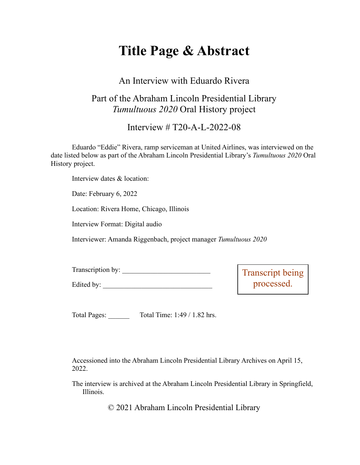# **Title Page & Abstract**

## An Interview with Eduardo Rivera

## Part of the Abraham Lincoln Presidential Library *Tumultuous 2020* Oral History project

Interview # T20-A-L-2022-08

Eduardo "Eddie" Rivera, ramp serviceman at United Airlines, was interviewed on the date listed below as part of the Abraham Lincoln Presidential Library's *Tumultuous 2020* Oral History project.

Interview dates & location:

Date: February 6, 2022

Location: Rivera Home, Chicago, Illinois

Interview Format: Digital audio

Edited by:

Interviewer: Amanda Riggenbach, project manager *Tumultuous 2020*

| Transcription by: |  |
|-------------------|--|
|                   |  |

Transcript being processed.

Total Pages: Total Time: 1:49 / 1.82 hrs.

Accessioned into the Abraham Lincoln Presidential Library Archives on April 15, 2022.

The interview is archived at the Abraham Lincoln Presidential Library in Springfield, Illinois.

© 2021 Abraham Lincoln Presidential Library